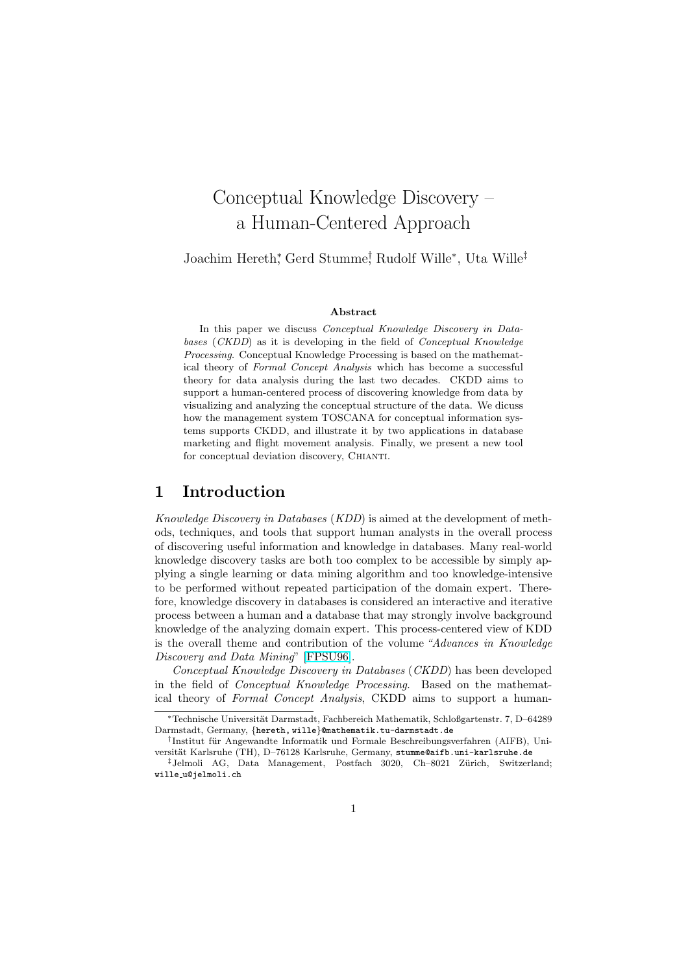# Conceptual Knowledge Discovery – a Human-Centered Approach

### Joachim Hereth<sup>\*</sup>, Gerd Stumme<sup>†</sup>, Rudolf Wille<sup>\*</sup>, Uta Wille<sup>‡</sup>

#### Abstract

In this paper we discuss *Conceptual Knowledge Discovery in Data*bases (CKDD) as it is developing in the field of Conceptual Knowledge Processing. Conceptual Knowledge Processing is based on the mathematical theory of Formal Concept Analysis which has become a successful theory for data analysis during the last two decades. CKDD aims to support a human-centered process of discovering knowledge from data by visualizing and analyzing the conceptual structure of the data. We dicuss how the management system TOSCANA for conceptual information systems supports CKDD, and illustrate it by two applications in database marketing and flight movement analysis. Finally, we present a new tool for conceptual deviation discovery, Chianti.

### 1 Introduction

Knowledge Discovery in Databases (KDD) is aimed at the development of methods, techniques, and tools that support human analysts in the overall process of discovering useful information and knowledge in databases. Many real-world knowledge discovery tasks are both too complex to be accessible by simply applying a single learning or data mining algorithm and too knowledge-intensive to be performed without repeated participation of the domain expert. Therefore, knowledge discovery in databases is considered an interactive and iterative process between a human and a database that may strongly involve background knowledge of the analyzing domain expert. This process-centered view of KDD is the overall theme and contribution of the volume "Advances in Knowledge Discovery and Data Mining" [FPSU96].

Conceptual Knowledge Discovery in Databases (CKDD) has been developed in the field of Conceptual Knowledge Processing. Based on the mathematical theory of Formal Concept Analysis, CKDD aims to support a human-

<sup>∗</sup>Technische Universit¨at Darmst[adt, Fachbe](#page-18-0)reich Mathematik, Schloßgartenstr. 7, D–64289 Darmstadt, Germany, {hereth, wille}@mathematik.tu-darmstadt.de

<sup>&</sup>lt;sup>†</sup>Institut für Angewandte Informatik und Formale Beschreibungsverfahren (AIFB), Universit¨at Karlsruhe (TH), D–76128 Karlsruhe, Germany, stumme@aifb.uni-karlsruhe.de

<sup>‡</sup>Jelmoli AG, Data Management, Postfach 3020, Ch–8021 Z¨urich, Switzerland; wille u@jelmoli.ch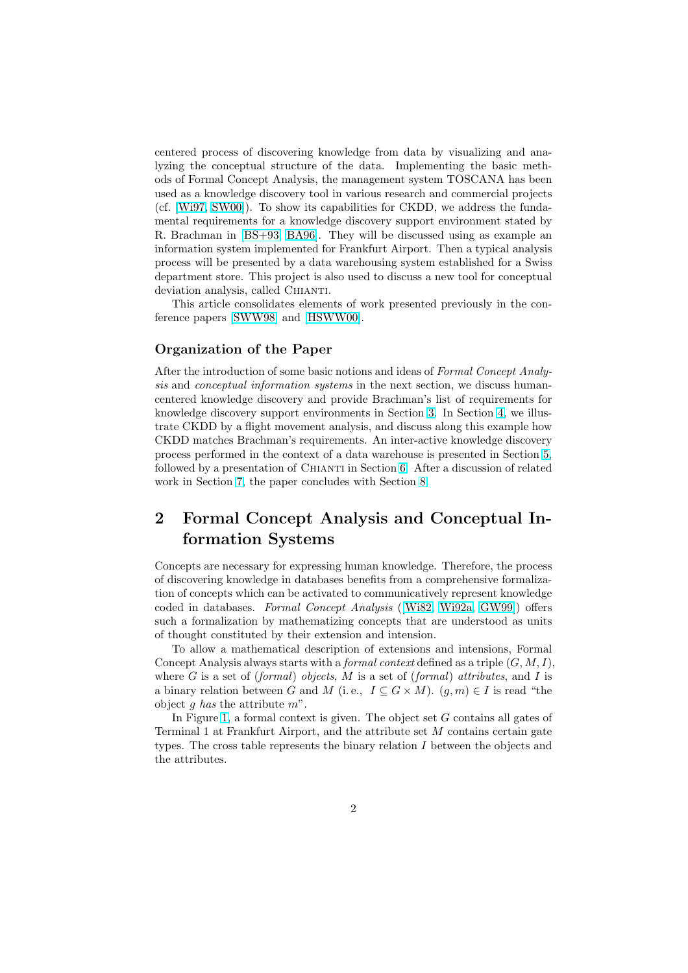centered process of discovering knowledge from data by visualizing and analyzing the conceptual structure of the data. Implementing the basic methods of Formal Concept Analysis, the management system TOSCANA has been used as a knowledge discovery tool in various research and commercial projects (cf. [Wi97, SW00]). To show its capabilities for CKDD, we address the fundamental requirements for a knowledge discovery support environment stated by R. Brachman in [BS+93, BA96]. They will be discussed using as example an information system implemented for Frankfurt Airport. Then a typical analysis proc[ess wi](#page-21-0)l[l be pr](#page-21-0)esented by a data warehousing system established for a Swiss department store. This project is also used to discuss a new tool for conceptual deviation analysi[s, called](#page-17-0) [Chian](#page-17-0)ti.

This article consolidates elements of work presented previously in the conference papers [SWW98] and [HSWW00].

#### Organization of the Paper

After the intro[duction of](#page-21-0) some [basic notio](#page-19-0)ns and ideas of Formal Concept Analysis and *conceptual information systems* in the next section, we discuss humancentered knowledge discovery and provide Brachman's list of requirements for knowledge discovery support environments in Section 3. In Section 4, we illustrate CKDD by a flight movement analysis, and discuss along this example how CKDD matches Brachman's requirements. An inter-active knowledge discovery process performed in the context of a data warehouse is presented in Section 5, followed by a presentation of Chianti in Section 6. Af[te](#page-3-0)r a discussio[n](#page-3-0) of related work in Section 7, the paper concludes with Section 8.

## 2 Formal Concept Analysis [an](#page-11-0)d Conceptual I[n](#page-8-0)forma[tio](#page-15-0)n Systems

Concepts are necessary for expressing human knowledge. Therefore, the process of discovering knowledge in databases benefits from a comprehensive formalization of concepts which can be activated to communicatively represent knowledge coded in databases. Formal Concept Analysis ([Wi82, Wi92a, GW99]) offers such a formalization by mathematizing concepts that are understood as units of thought constituted by their extension and intension.

To allow a mathematical description of extensions and intensions, Formal Concept Analysis always starts with a *formal context* [defined as a](#page-21-0) triple  $(G, M, I)$ , where G is a set of (formal) objects, M is a set of (formal) attributes, and I is a binary relation between G and M (i.e.,  $I \subseteq G \times M$ ).  $(g, m) \in I$  is read "the object q has the attribute  $m$ ".

In Figure 1, a formal context is given. The object set  $G$  contains all gates of Terminal 1 at Frankfurt Airport, and the attribute set M contains certain gate types. The cross table represents the binary relation I between the objects and the attributes.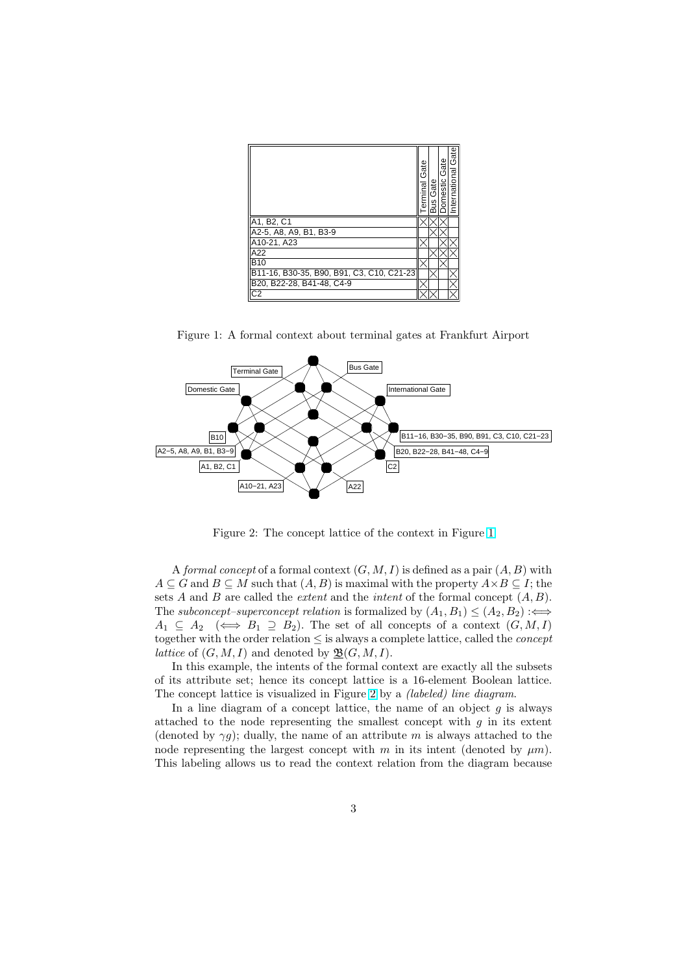<span id="page-2-0"></span>

|                                           | Gate<br>erminal | Gate<br>Bus | Domestic Gate | nternational Gate |
|-------------------------------------------|-----------------|-------------|---------------|-------------------|
| $\overline{A1}$ , B2, C1                  |                 |             |               |                   |
| A2-5, A8, A9, B1, B3-9                    |                 |             |               |                   |
| A10-21, A23                               |                 |             |               |                   |
| A22                                       |                 |             |               |                   |
| <b>B10</b>                                |                 |             |               |                   |
| B11-16, B30-35, B90, B91, C3, C10, C21-23 |                 |             |               |                   |
| B20, B22-28, B41-48, C4-9                 |                 |             |               |                   |
| C2                                        |                 |             |               |                   |

Figure 1: A formal context about terminal gates at Frankfurt Airport



Figure 2: The concept lattice of the context in Figure 1

A formal concept of a formal context  $(G, M, I)$  is defined as a pair  $(A, B)$  with  $A \subseteq G$  and  $B \subseteq M$  such that  $(A, B)$  is maximal with the property  $A \times B \subseteq I$ ; the sets A and B are called the *extent* and the *intent* of the formal concept  $(A, B)$ . The subconcept–superconcept relation is formalized by  $(A_1, B_1) \leq (A_2, B_2)$ : $\Longleftrightarrow$  $A_1 \subseteq A_2 \iff B_1 \supseteq B_2$ . The set of all concepts of a context  $(G, M, I)$ together with the order relation  $\leq$  is always a complete lattice, called the *concept lattice* of  $(G, M, I)$  and denoted by  $\underline{\mathfrak{B}}(G, M, I)$ .

In this example, the intents of the formal context are exactly all the subsets of its attribute set; hence its concept lattice is a 16-element Boolean lattice. The concept lattice is visualized in Figure 2 by a (labeled) line diagram.

In a line diagram of a concept lattice, the name of an object  $q$  is always attached to the node representing the smallest concept with  $g$  in its extent (denoted by  $\gamma g$ ); dually, the name of an attribute m is always attached to the node representing the largest concept with m in its intent (denoted by  $\mu$ m). This labeling allows us to read the context relation from the diagram because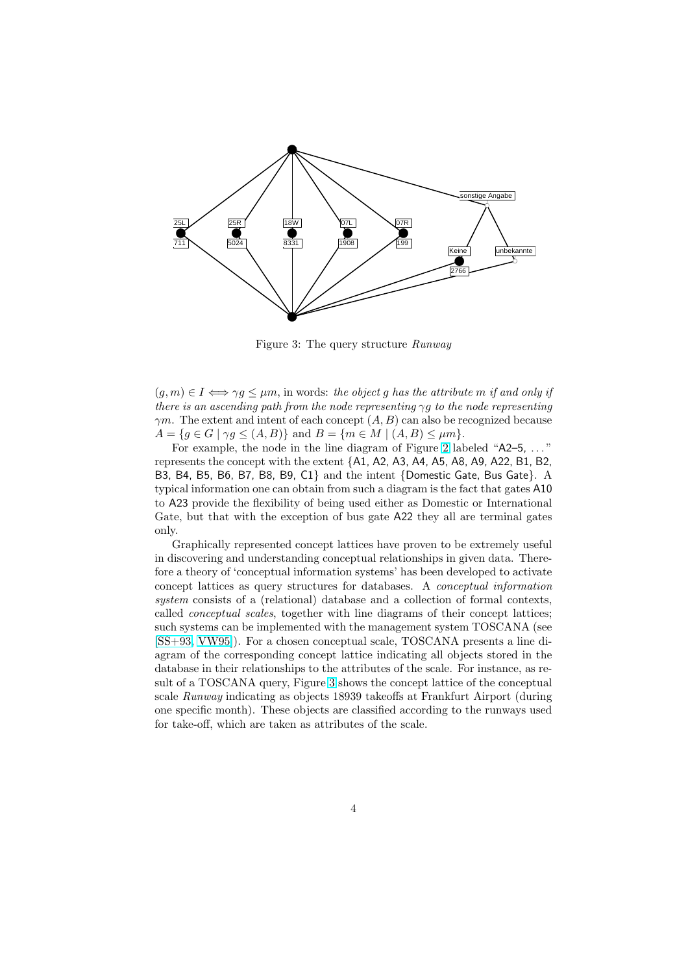<span id="page-3-0"></span>

Figure 3: The query structure Runway

 $(g, m) \in I \Longleftrightarrow \gamma g \leq \mu m$ , in words: the object g has the attribute m if and only if there is an ascending path from the node representing  $\gamma g$  to the node representing  $\gamma m$ . The extent and intent of each concept  $(A, B)$  can also be recognized because  $A = \{ g \in G \mid \gamma g \le (A, B) \}$  and  $B = \{ m \in M \mid (A, B) \le \mu m \}.$ 

For example, the node in the line diagram of Figure 2 labeled "A2–5, ..." represents the concept with the extent {A1, A2, A3, A4, A5, A8, A9, A22, B1, B2, B3, B4, B5, B6, B7, B8, B9, C1} and the intent {Domestic Gate, Bus Gate}. A typical information one can obtain from such a diagram is the fact that gates A10 to A23 provide the flexibility of being used either as Do[me](#page-2-0)stic or International Gate, but that with the exception of bus gate A22 they all are terminal gates only.

Graphically represented concept lattices have proven to be extremely useful in discovering and understanding conceptual relationships in given data. Therefore a theory of 'conceptual information systems' has been developed to activate concept lattices as query structures for databases. A conceptual information system consists of a (relational) database and a collection of formal contexts, called conceptual scales, together with line diagrams of their concept lattices; such systems can be implemented with the management system TOSCANA (see [SS+93, VW95]). For a chosen conceptual scale, TOSCANA presents a line diagram of the corresponding concept lattice indicating all objects stored in the database in their relationships to the attributes of the scale. For instance, as result of a TOSCANA query, Figure 3 shows the concept lattice of the conceptual [scale](#page-20-0) Ru[nway](#page-21-0) indicating as objects 18939 takeoffs at Frankfurt Airport (during one specific month). These objects are classified according to the runways used for take-off, which are taken as attributes of the scale.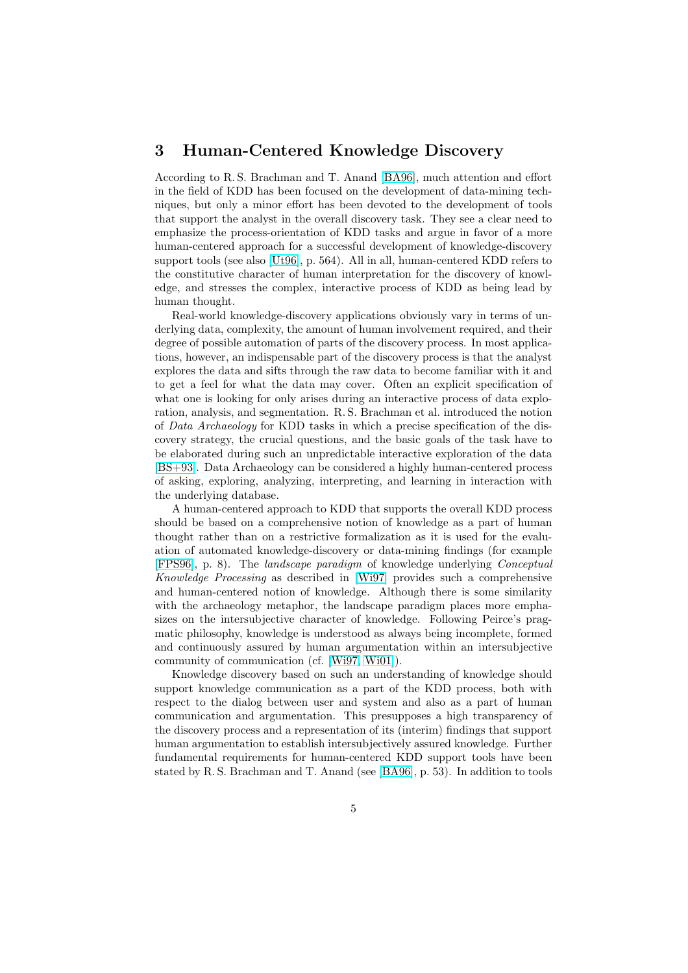#### 3 Human-Centered Knowledge Discovery

According to R. S. Brachman and T. Anand [BA96], much attention and effort in the field of KDD has been focused on the development of data-mining techniques, but only a minor effort has been devoted to the development of tools that support the analyst in the overall discovery task. They see a clear need to emphasize the process-orientation of KDD t[asks an](#page-17-0)d argue in favor of a more human-centered approach for a successful development of knowledge-discovery support tools (see also [Ut96], p. 564). All in all, human-centered KDD refers to the constitutive character of human interpretation for the discovery of knowledge, and stresses the complex, interactive process of KDD as being lead by human thought.

Real-world knowle[dge-dis](#page-21-0)covery applications obviously vary in terms of underlying data, complexity, the amount of human involvement required, and their degree of possible automation of parts of the discovery process. In most applications, however, an indispensable part of the discovery process is that the analyst explores the data and sifts through the raw data to become familiar with it and to get a feel for what the data may cover. Often an explicit specification of what one is looking for only arises during an interactive process of data exploration, analysis, and segmentation. R. S. Brachman et al. introduced the notion of Data Archaeology for KDD tasks in which a precise specification of the discovery strategy, the crucial questions, and the basic goals of the task have to be elaborated during such an unpredictable interactive exploration of the data [BS+93]. Data Archaeology can be considered a highly human-centered process of asking, exploring, analyzing, interpreting, and learning in interaction with the underlying database.

A human-centered approach to KDD that supports the overall KDD process [should b](#page-17-0)e based on a comprehensive notion of knowledge as a part of human thought rather than on a restrictive formalization as it is used for the evaluation of automated knowledge-discovery or data-mining findings (for example [FPS96], p. 8). The landscape paradigm of knowledge underlying Conceptual Knowledge Processing as described in [Wi97] provides such a comprehensive and human-centered notion of knowledge. Although there is some similarity with the archaeology metaphor, the landscape paradigm places more empha[sizes on](#page-18-0) the intersubjective character of knowledge. Following Peirce's pragmatic philosophy, knowledge is understo[od as](#page-21-0) always being incomplete, formed and continuously assured by human argumentation within an intersubjective community of communication (cf. [Wi97, Wi01]).

Knowledge discovery based on such an understanding of knowledge should support knowledge communication as a part of the KDD process, both with respect to the dialog between user and system and also as a part of human communication and argumentatio[n. Thi](#page-21-0)[s presu](#page-22-0)pposes a high transparency of the discovery process and a representation of its (interim) findings that support human argumentation to establish intersubjectively assured knowledge. Further fundamental requirements for human-centered KDD support tools have been stated by R. S. Brachman and T. Anand (see [BA96], p. 53). In addition to tools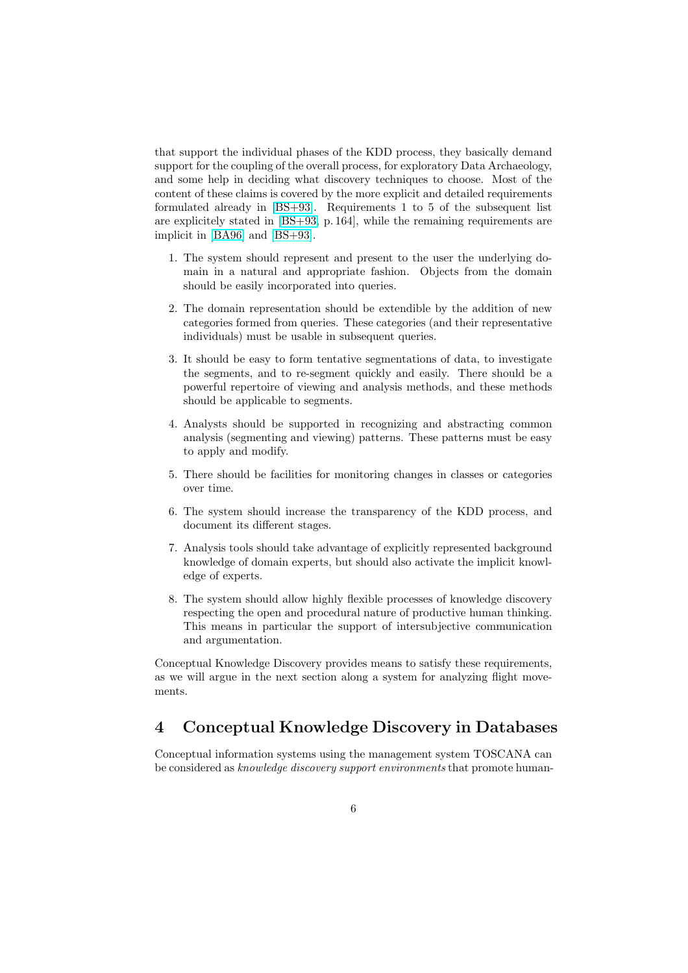that support the individual phases of the KDD process, they basically demand support for the coupling of the overall process, for exploratory Data Archaeology, and some help in deciding what discovery techniques to choose. Most of the content of these claims is covered by the more explicit and detailed requirements formulated already in [BS+93]. Requirements 1 to 5 of the subsequent list are explicitely stated in [BS+93, p. 164], while the remaining requirements are implicit in [BA96] and [BS+93].

- 1. The system should represent and present to the user the underlying domain in a natura[l and a](#page-17-0)ppropriate fashion. Objects from the domain shoul[d be ea](#page-17-0)sily i[ncorporat](#page-17-0)ed into queries.
- 2. The domain representation should be extendible by the addition of new categories formed from queries. These categories (and their representative individuals) must be usable in subsequent queries.
- 3. It should be easy to form tentative segmentations of data, to investigate the segments, and to re-segment quickly and easily. There should be a powerful repertoire of viewing and analysis methods, and these methods should be applicable to segments.
- 4. Analysts should be supported in recognizing and abstracting common analysis (segmenting and viewing) patterns. These patterns must be easy to apply and modify.
- 5. There should be facilities for monitoring changes in classes or categories over time.
- 6. The system should increase the transparency of the KDD process, and document its different stages.
- 7. Analysis tools should take advantage of explicitly represented background knowledge of domain experts, but should also activate the implicit knowledge of experts.
- 8. The system should allow highly flexible processes of knowledge discovery respecting the open and procedural nature of productive human thinking. This means in particular the support of intersubjective communication and argumentation.

Conceptual Knowledge Discovery provides means to satisfy these requirements, as we will argue in the next section along a system for analyzing flight movements.

### 4 Conceptual Knowledge Discovery in Databases

Conceptual information systems using the management system TOSCANA can be considered as knowledge discovery support environments that promote human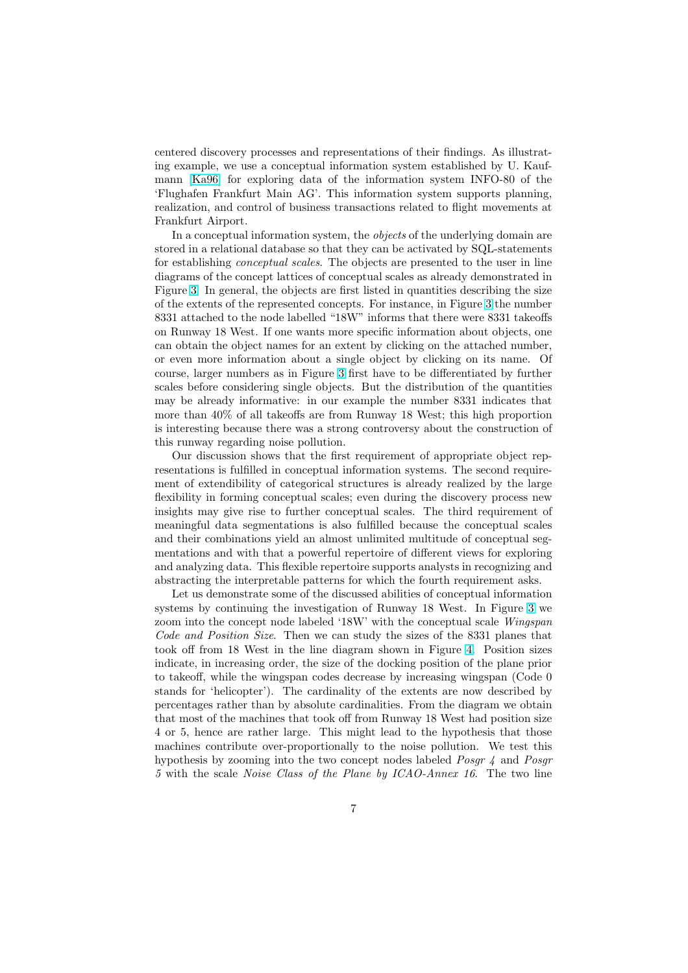centered discovery processes and representations of their findings. As illustrating example, we use a conceptual information system established by U. Kaufmann [Ka96] for exploring data of the information system INFO-80 of the 'Flughafen Frankfurt Main AG'. This information system supports planning, realization, and control of business transactions related to flight movements at Frankfurt Airport.

In [a conce](#page-19-0)ptual information system, the *objects* of the underlying domain are stored in a relational database so that they can be activated by SQL-statements for establishing conceptual scales. The objects are presented to the user in line diagrams of the concept lattices of conceptual scales as already demonstrated in Figure 3. In general, the objects are first listed in quantities describing the size of the extents of the represented concepts. For instance, in Figure 3 the number 8331 attached to the node labelled "18W" informs that there were 8331 takeoffs on Runway 18 West. If one wants more specific information about objects, one can ob[ta](#page-3-0)in the object names for an extent by clicking on the attached number, or even more information about a single object by clicking on [its](#page-3-0) name. Of course, larger numbers as in Figure 3 first have to be differentiated by further scales before considering single objects. But the distribution of the quantities may be already informative: in our example the number 8331 indicates that more than 40% of all takeoffs are from Runway 18 West; this high proportion is interesting because there was a st[ro](#page-3-0)ng controversy about the construction of this runway regarding noise pollution.

Our discussion shows that the first requirement of appropriate object representations is fulfilled in conceptual information systems. The second requirement of extendibility of categorical structures is already realized by the large flexibility in forming conceptual scales; even during the discovery process new insights may give rise to further conceptual scales. The third requirement of meaningful data segmentations is also fulfilled because the conceptual scales and their combinations yield an almost unlimited multitude of conceptual segmentations and with that a powerful repertoire of different views for exploring and analyzing data. This flexible repertoire supports analysts in recognizing and abstracting the interpretable patterns for which the fourth requirement asks.

Let us demonstrate some of the discussed abilities of conceptual information systems by continuing the investigation of Runway 18 West. In Figure 3 we zoom into the concept node labeled '18W' with the conceptual scale Wingspan Code and Position Size. Then we can study the sizes of the 8331 planes that took off from 18 West in the line diagram shown in Figure 4. Position sizes indicate, in increasing order, the size of the docking position of the plane [pr](#page-3-0)ior to takeoff, while the wingspan codes decrease by increasing wingspan (Code 0 stands for 'helicopter'). The cardinality of the extents are now described by percentages rather than by absolute cardinalities. From the d[ia](#page-7-0)gram we obtain that most of the machines that took off from Runway 18 West had position size 4 or 5, hence are rather large. This might lead to the hypothesis that those machines contribute over-proportionally to the noise pollution. We test this hypothesis by zooming into the two concept nodes labeled Posgr 4 and Posgr 5 with the scale Noise Class of the Plane by ICAO-Annex 16. The two line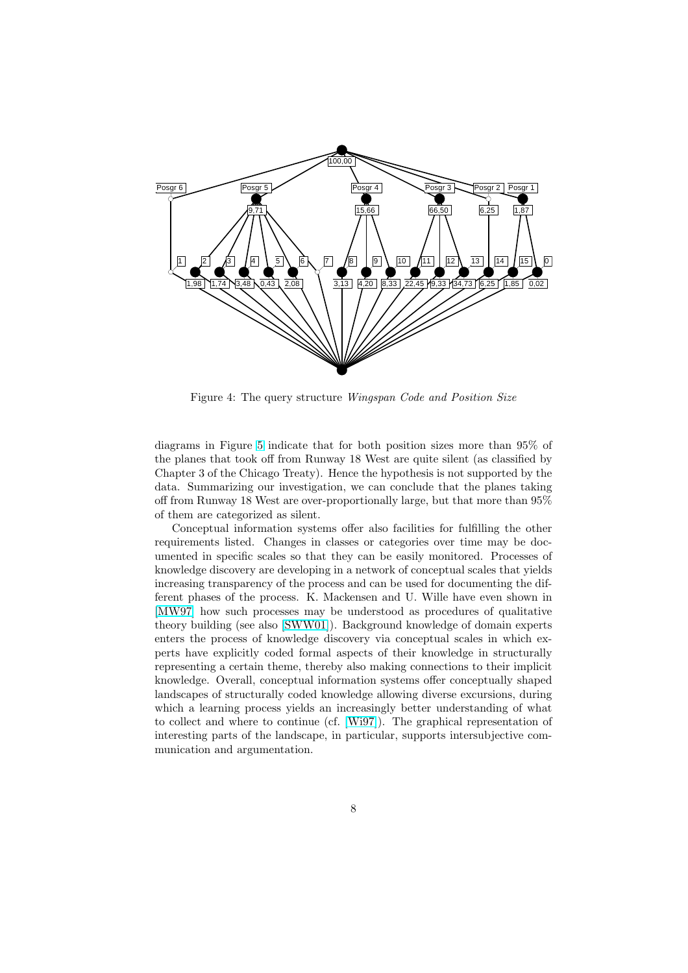<span id="page-7-0"></span>

Figure 4: The query structure Wingspan Code and Position Size

diagrams in Figure 5 indicate that for both position sizes more than 95% of the planes that took off from Runway 18 West are quite silent (as classified by Chapter 3 of the Chicago Treaty). Hence the hypothesis is not supported by the data. Summarizing our investigation, we can conclude that the planes taking off from Runway 18 [W](#page-8-0)est are over-proportionally large, but that more than 95% of them are categorized as silent.

Conceptual information systems offer also facilities for fulfilling the other requirements listed. Changes in classes or categories over time may be documented in specific scales so that they can be easily monitored. Processes of knowledge discovery are developing in a network of conceptual scales that yields increasing transparency of the process and can be used for documenting the different phases of the process. K. Mackensen and U. Wille have even shown in [MW97] how such processes may be understood as procedures of qualitative theory building (see also [SWW01]). Background knowledge of domain experts enters the process of knowledge discovery via conceptual scales in which experts have explicitly coded formal aspects of their knowledge in structurally [represen](#page-19-0)ting a certain theme, thereby also making connections to their implicit knowledge. Overall, conc[eptual inf](#page-20-0)ormation systems offer conceptually shaped landscapes of structurally coded knowledge allowing diverse excursions, during which a learning process yields an increasingly better understanding of what to collect and where to continue (cf. [Wi97]). The graphical representation of interesting parts of the landscape, in particular, supports intersubjective communication and argumentation.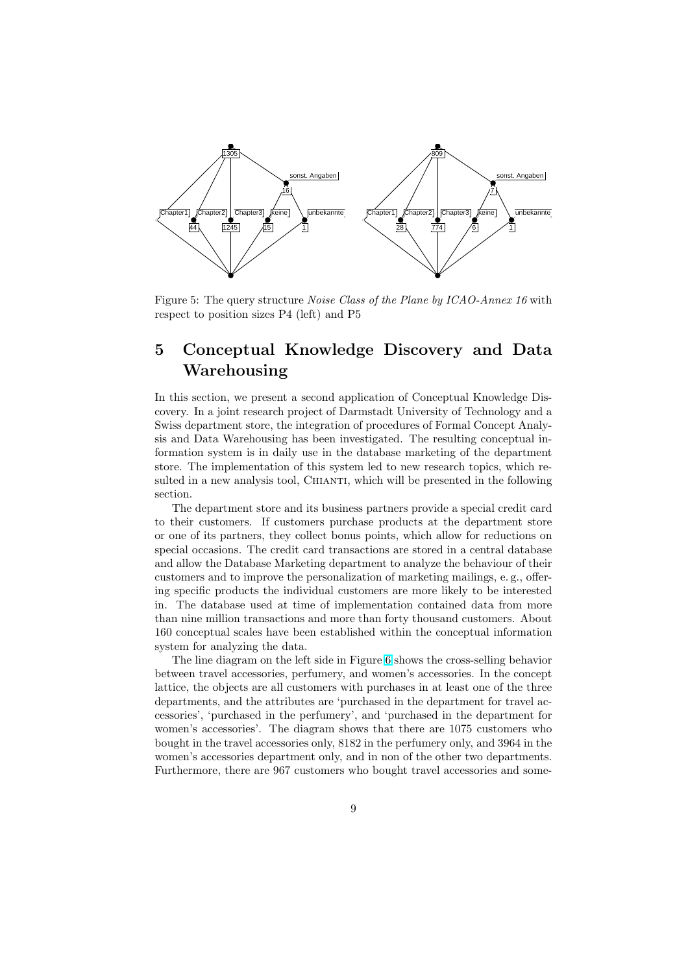<span id="page-8-0"></span>

Figure 5: The query structure Noise Class of the Plane by ICAO-Annex 16 with respect to position sizes P4 (left) and P5

# 5 Conceptual Knowledge Discovery and Data Warehousing

In this section, we present a second application of Conceptual Knowledge Discovery. In a joint research project of Darmstadt University of Technology and a Swiss department store, the integration of procedures of Formal Concept Analysis and Data Warehousing has been investigated. The resulting conceptual information system is in daily use in the database marketing of the department store. The implementation of this system led to new research topics, which resulted in a new analysis tool, CHIANTI, which will be presented in the following section.

The department store and its business partners provide a special credit card to their customers. If customers purchase products at the department store or one of its partners, they collect bonus points, which allow for reductions on special occasions. The credit card transactions are stored in a central database and allow the Database Marketing department to analyze the behaviour of their customers and to improve the personalization of marketing mailings, e. g., offering specific products the individual customers are more likely to be interested in. The database used at time of implementation contained data from more than nine million transactions and more than forty thousand customers. About 160 conceptual scales have been established within the conceptual information system for analyzing the data.

The line diagram on the left side in Figure 6 shows the cross-selling behavior between travel accessories, perfumery, and women's accessories. In the concept lattice, the objects are all customers with purchases in at least one of the three departments, and the attributes are 'purchased in the department for travel accessories', 'purchased in the perfumery', and ['p](#page-9-0)urchased in the department for women's accessories'. The diagram shows that there are 1075 customers who bought in the travel accessories only, 8182 in the perfumery only, and 3964 in the women's accessories department only, and in non of the other two departments. Furthermore, there are 967 customers who bought travel accessories and some-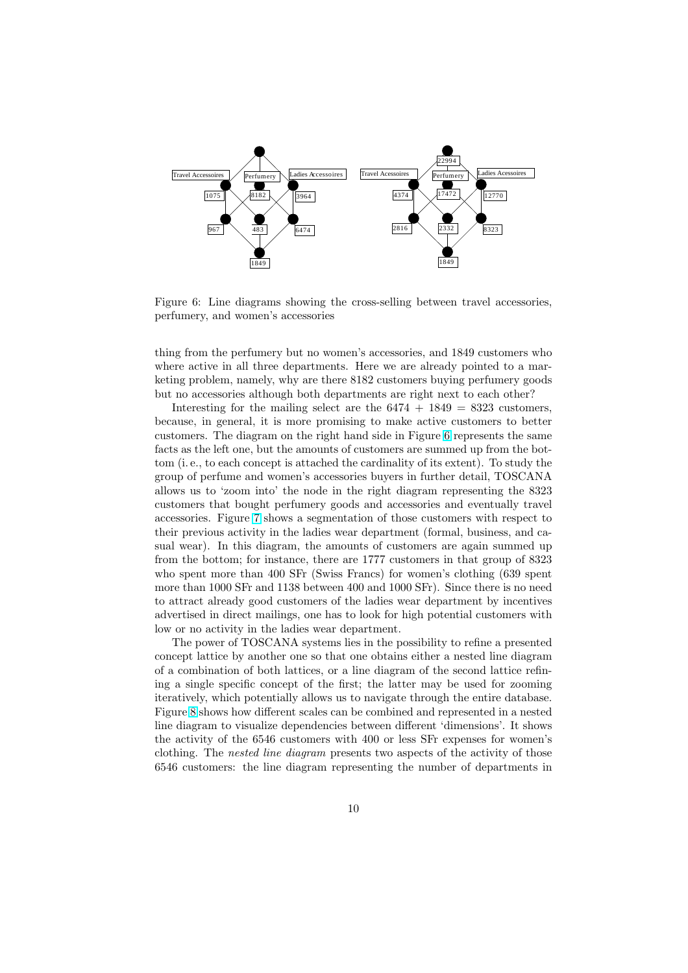<span id="page-9-0"></span>

Figure 6: Line diagrams showing the cross-selling between travel accessories, perfumery, and women's accessories

thing from the perfumery but no women's accessories, and 1849 customers who where active in all three departments. Here we are already pointed to a marketing problem, namely, why are there 8182 customers buying perfumery goods but no accessories although both departments are right next to each other?

Interesting for the mailing select are the  $6474 + 1849 = 8323$  customers, because, in general, it is more promising to make active customers to better customers. The diagram on the right hand side in Figure 6 represents the same facts as the left one, but the amounts of customers are summed up from the bottom (i. e., to each concept is attached the cardinality of its extent). To study the group of perfume and women's accessories buyers in further detail, TOSCANA allows us to 'zoom into' the node in the right diagram representing the 8323 customers that bought perfumery goods and accessories and eventually travel accessories. Figure 7 shows a segmentation of those customers with respect to their previous activity in the ladies wear department (formal, business, and casual wear). In this diagram, the amounts of customers are again summed up from the bottom; for instance, there are 1777 customers in that group of 8323 who spent more th[an](#page-10-0) 400 SFr (Swiss Francs) for women's clothing (639 spent more than 1000 SFr and 1138 between 400 and 1000 SFr). Since there is no need to attract already good customers of the ladies wear department by incentives advertised in direct mailings, one has to look for high potential customers with low or no activity in the ladies wear department.

The power of TOSCANA systems lies in the possibility to refine a presented concept lattice by another one so that one obtains either a nested line diagram of a combination of both lattices, or a line diagram of the second lattice refining a single specific concept of the first; the latter may be used for zooming iteratively, which potentially allows us to navigate through the entire database. Figure 8 shows how different scales can be combined and represented in a nested line diagram to visualize dependencies between different 'dimensions'. It shows the activity of the 6546 customers with 400 or less SFr expenses for women's clothing. The *nested line diagram* presents two aspects of the activity of those 6546 c[us](#page-11-0)tomers: the line diagram representing the number of departments in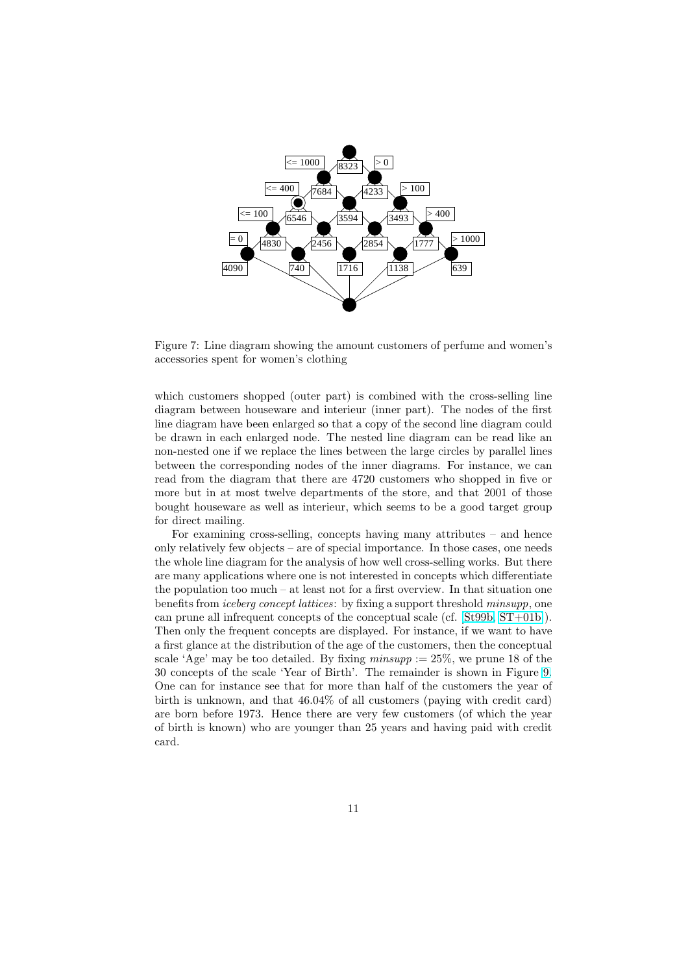<span id="page-10-0"></span>

Figure 7: Line diagram showing the amount customers of perfume and women's accessories spent for women's clothing

which customers shopped (outer part) is combined with the cross-selling line diagram between houseware and interieur (inner part). The nodes of the first line diagram have been enlarged so that a copy of the second line diagram could be drawn in each enlarged node. The nested line diagram can be read like an non-nested one if we replace the lines between the large circles by parallel lines between the corresponding nodes of the inner diagrams. For instance, we can read from the diagram that there are 4720 customers who shopped in five or more but in at most twelve departments of the store, and that 2001 of those bought houseware as well as interieur, which seems to be a good target group for direct mailing.

For examining cross-selling, concepts having many attributes – and hence only relatively few objects – are of special importance. In those cases, one needs the whole line diagram for the analysis of how well cross-selling works. But there are many applications where one is not interested in concepts which differentiate the population too much – at least not for a first overview. In that situation one benefits from iceberg concept lattices: by fixing a support threshold minsupp, one can prune all infrequent concepts of the conceptual scale (cf. [St99b, ST+01b]). Then only the frequent concepts are displayed. For instance, if we want to have a first glance at the distribution of the age of the customers, then the conceptual scale 'Age' may be too detailed. By fixing  $minsupp := 25\%$ , we prune 18 of the 30 concepts of the scale 'Year of Birth'. The remainder is s[hown in Figure](#page-20-0) 9. One can for instance see that for more than half of the customers the year of birth is unknown, and that 46.04% of all customers (paying with credit card) are born before 1973. Hence there are very few customers (of which the year of birth is known) who are younger than 25 years and having paid with cre[dit](#page-11-0) card.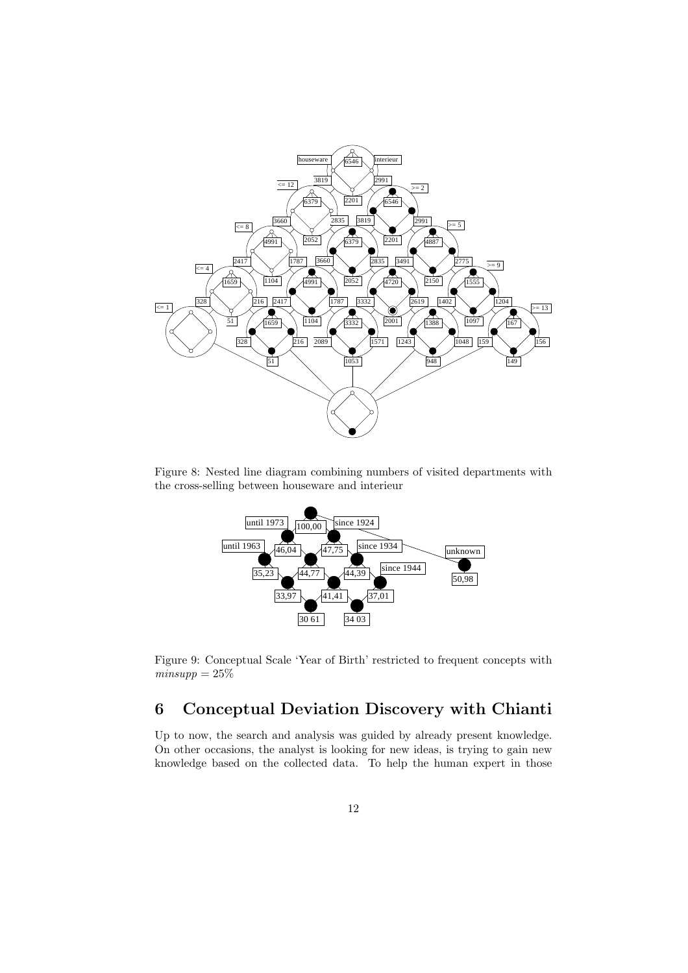<span id="page-11-0"></span>

Figure 8: Nested line diagram combining numbers of visited departments with the cross-selling between houseware and interieur



Figure 9: Conceptual Scale 'Year of Birth' restricted to frequent concepts with  $minsupp = 25\%$ 

### 6 Conceptual Deviation Discovery with Chianti

Up to now, the search and analysis was guided by already present knowledge. On other occasions, the analyst is looking for new ideas, is trying to gain new knowledge based on the collected data. To help the human expert in those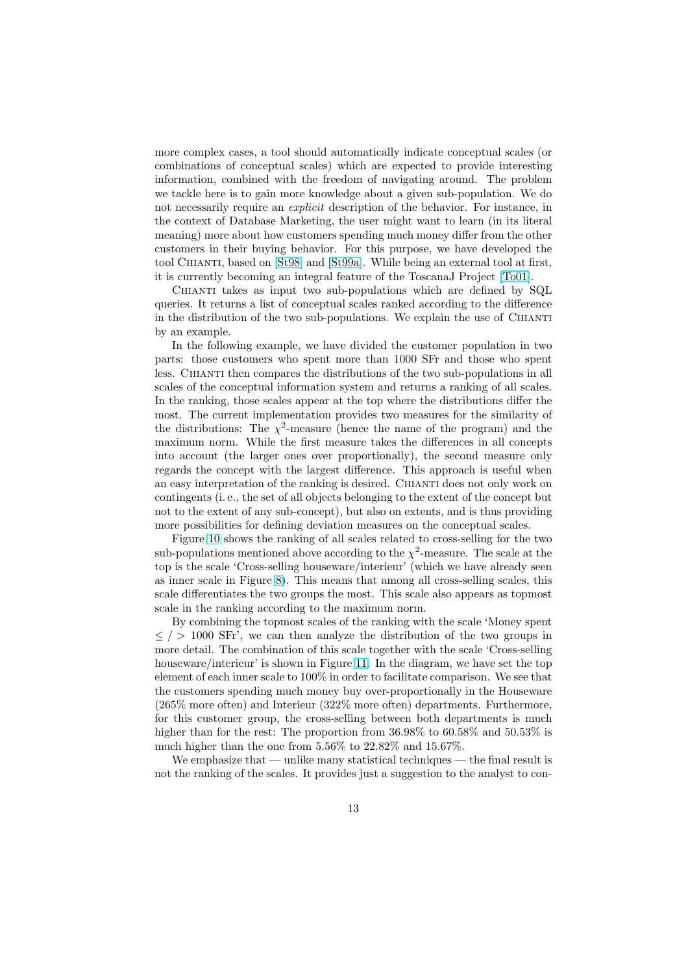more complex cases, a tool should automatically indicate conceptual scales (or combinations of conceptual scales) which are expected to provide interesting information, combined with the freedom of navigating around. The problem we tackle here is to gain more knowledge about a given sub-population. We do not necessarily require an *explicit* description of the behavior. For instance, in the context of Database Marketing, the user might want to learn (in its literal meaning) more about how customers spending much money differ from the other customers in their buying behavior. For this purpose, we have developed the tool Chianti, based on [St98] and [St99a]. While being an external tool at first, it is currently becoming an integral feature of the ToscanaJ Project [To01].

Chianti takes as input two sub-populations which are defined by SQL queries. It returns a list of conceptual scales ranked according to the difference in the distribution of th[e two](#page-20-0) sub-[popula](#page-20-0)tions. We explain the use of Chianti by an example.

In the following example, we have divided the customer population in two parts: those customers who spent more than 1000 SFr and those who spent less. CHIANTI then compares the distributions of the two sub-populations in all scales of the conceptual information system and returns a ranking of all scales. In the ranking, those scales appear at the top where the distributions differ the most. The current implementation provides two measures for the similarity of the distributions: The  $\chi^2$ -measure (hence the name of the program) and the maximum norm. While the first measure takes the differences in all concepts into account (the larger ones over proportionally), the second measure only regards the concept with the largest difference. This approach is useful when an easy interpretation of the ranking is desired. Chianti does not only work on contingents (i. e., the set of all objects belonging to the extent of the concept but not to the extent of any sub-concept), but also on extents, and is thus providing more possibilities for defining deviation measures on the conceptual scales.

Figure 10 shows the ranking of all scales related to cross-selling for the two sub-populations mentioned above according to the  $\chi^2$ -measure. The scale at the top is the scale 'Cross-selling houseware/interieur' (which we have already seen as inner scale in Figure 8). This means that among all cross-selling scales, this scale diffe[rent](#page-13-0)iates the two groups the most. This scale also appears as topmost scale in the ranking according to the maximum norm.

By combining the topmost scales of the ranking with the scale 'Money spent  $\leq$  / > 1000 SFr', we c[an](#page-11-0) then analyze the distribution of the two groups in more detail. The combination of this scale together with the scale 'Cross-selling houseware/interieur' is shown in Figure 11. In the diagram, we have set the top element of each inner scale to 100% in order to facilitate comparison. We see that the customers spending much money buy over-proportionally in the Houseware (265% more often) and Interieur (322% more often) departments. Furthermore, for this customer group, the cross-selli[ng](#page-13-0) between both departments is much higher than for the rest: The proportion from  $36.98\%$  to  $60.58\%$  and  $50.53\%$  is much higher than the one from 5.56% to 22.82% and 15.67%.

We emphasize that  $-$  unlike many statistical techniques  $-$  the final result is not the ranking of the scales. It provides just a suggestion to the analyst to con-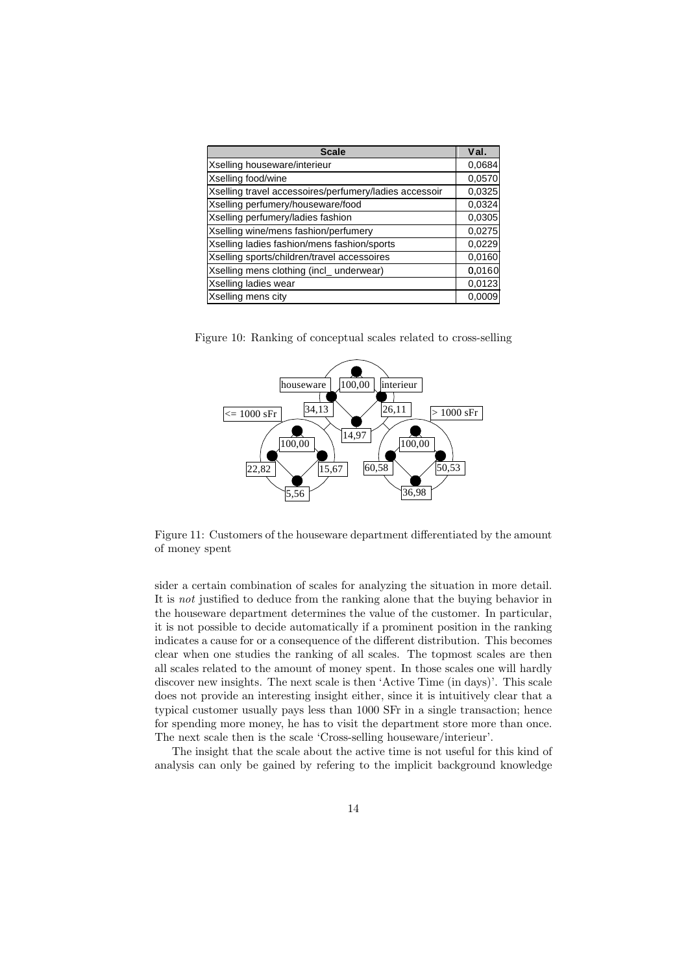<span id="page-13-0"></span>

| <b>Scale</b>                                           | Val.   |
|--------------------------------------------------------|--------|
| Xselling houseware/interieur                           | 0.0684 |
| Xselling food/wine                                     | 0,0570 |
| Xselling travel accessoires/perfumery/ladies accessoir | 0.0325 |
| Xselling perfumery/houseware/food                      | 0.0324 |
| Xselling perfumery/ladies fashion                      | 0.0305 |
| Xselling wine/mens fashion/perfumery                   | 0,0275 |
| Xselling ladies fashion/mens fashion/sports            | 0.0229 |
| Xselling sports/children/travel accessoires            | 0,0160 |
| Xselling mens clothing (incl_ underwear)               | 0,0160 |
| Xselling ladies wear                                   | 0.0123 |
| Xselling mens city                                     | 0,0009 |

Figure 10: Ranking of conceptual scales related to cross-selling



Figure 11: Customers of the houseware department differentiated by the amount of money spent

sider a certain combination of scales for analyzing the situation in more detail. It is not justified to deduce from the ranking alone that the buying behavior in the houseware department determines the value of the customer. In particular, it is not possible to decide automatically if a prominent position in the ranking indicates a cause for or a consequence of the different distribution. This becomes clear when one studies the ranking of all scales. The topmost scales are then all scales related to the amount of money spent. In those scales one will hardly discover new insights. The next scale is then 'Active Time (in days)'. This scale does not provide an interesting insight either, since it is intuitively clear that a typical customer usually pays less than 1000 SFr in a single transaction; hence for spending more money, he has to visit the department store more than once. The next scale then is the scale 'Cross-selling houseware/interieur'.

The insight that the scale about the active time is not useful for this kind of analysis can only be gained by refering to the implicit background knowledge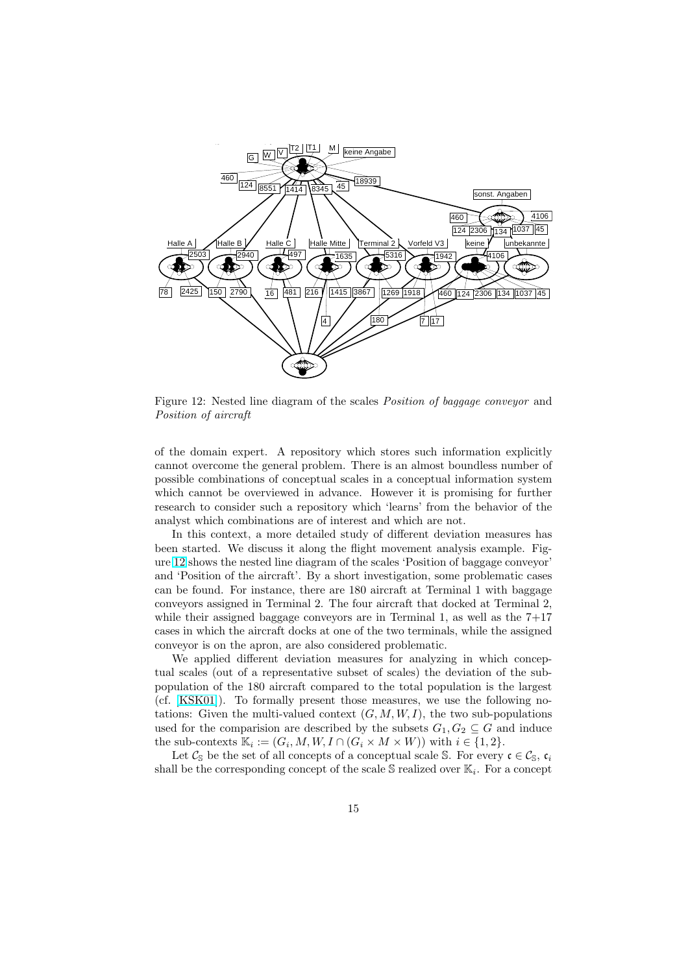

Figure 12: Nested line diagram of the scales Position of baggage conveyor and Position of aircraft

of the domain expert. A repository which stores such information explicitly cannot overcome the general problem. There is an almost boundless number of possible combinations of conceptual scales in a conceptual information system which cannot be overviewed in advance. However it is promising for further research to consider such a repository which 'learns' from the behavior of the analyst which combinations are of interest and which are not.

In this context, a more detailed study of different deviation measures has been started. We discuss it along the flight movement analysis example. Figure 12 shows the nested line diagram of the scales 'Position of baggage conveyor' and 'Position of the aircraft'. By a short investigation, some problematic cases can be found. For instance, there are 180 aircraft at Terminal 1 with baggage conveyors assigned in Terminal 2. The four aircraft that docked at Terminal 2, while their assigned baggage conveyors are in Terminal 1, as well as the  $7+17$ cases in which the aircraft docks at one of the two terminals, while the assigned conveyor is on the apron, are also considered problematic.

We applied different deviation measures for analyzing in which conceptual scales (out of a representative subset of scales) the deviation of the subpopulation of the 180 aircraft compared to the total population is the largest (cf. [KSK01]). To formally present those measures, we use the following notations: Given the multi-valued context  $(G, M, W, I)$ , the two sub-populations used for the comparision are described by the subsets  $G_1, G_2 \subseteq G$  and induce the sub-contexts  $\mathbb{K}_i := (G_i, M, W, I \cap (G_i \times M \times W))$  with  $i \in \{1, 2\}.$ 

[Let](#page-19-0)  $\mathcal{C}_{\mathbb{S}}$  be the set of all concepts of a conceptual scale  $\mathbb{S}$ . For every  $\mathfrak{c} \in \mathcal{C}_{\mathbb{S}}$ ,  $\mathfrak{c}_i$ shall be the corresponding concept of the scale  $\mathbb S$  realized over  $\mathbb K_i$ . For a concept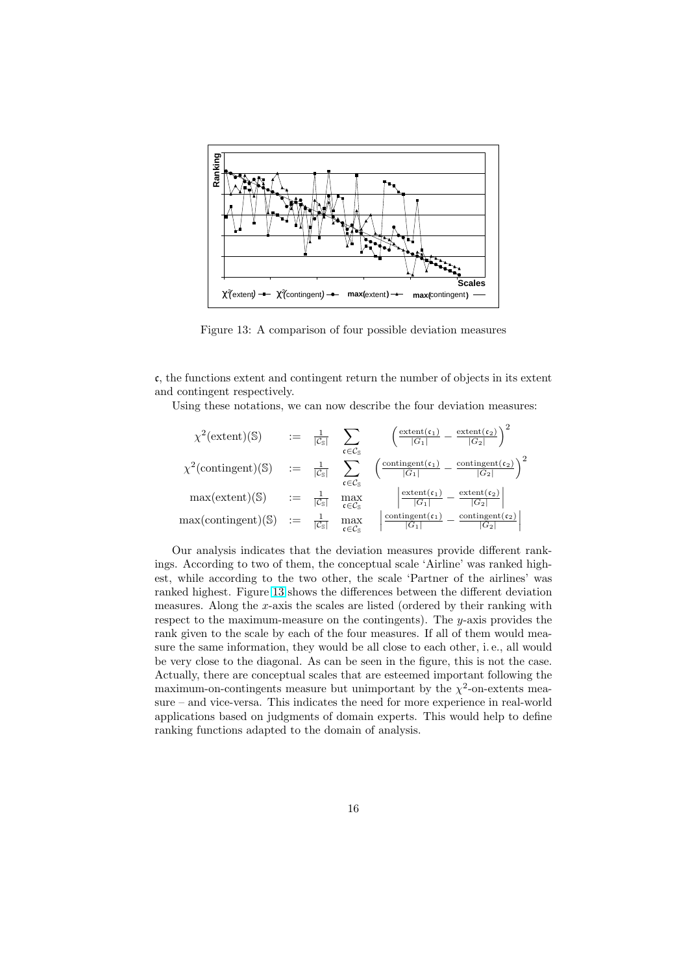<span id="page-15-0"></span>

Figure 13: A comparison of four possible deviation measures

c, the functions extent and contingent return the number of objects in its extent and contingent respectively.

Using these notations, we can now describe the four deviation measures:

$$
\chi^2(\text{extent})(\mathbb{S}) \quad := \quad \frac{1}{|\mathcal{C}_s|} \quad \sum_{\mathfrak{c} \in \mathcal{C}_s} \quad \left(\frac{\text{extent}(\mathfrak{c}_1)}{|\mathcal{G}_1|} - \frac{\text{extent}(\mathfrak{c}_2)}{|\mathcal{G}_2|}\right)^2
$$
\n
$$
\chi^2(\text{contingent})(\mathbb{S}) \quad := \quad \frac{1}{|\mathcal{C}_s|} \quad \sum_{\mathfrak{c} \in \mathcal{C}_s} \quad \left(\frac{\text{contingent}(\mathfrak{c}_1)}{|\mathcal{G}_1|} - \frac{\text{contingent}(\mathfrak{c}_2)}{|\mathcal{G}_2|}\right)^2
$$
\n
$$
\max(\text{extent})(\mathbb{S}) \quad := \quad \frac{1}{|\mathcal{C}_s|} \quad \max_{\mathfrak{c} \in \mathcal{C}_s} \quad \left|\frac{\text{extent}(\mathfrak{c}_1)}{|\mathcal{G}_1|} - \frac{\text{extent}(\mathfrak{c}_2)}{|\mathcal{G}_2|}\right|
$$
\n
$$
\max(\text{contingent})(\mathbb{S}) \quad := \quad \frac{1}{|\mathcal{C}_s|} \quad \max_{\mathfrak{c} \in \mathcal{C}_s} \quad \left|\frac{\text{contingent}(\mathfrak{c}_1)}{|\mathcal{G}_1|} - \frac{\text{contingent}(\mathfrak{c}_2)}{|\mathcal{G}_2|}\right|
$$

Our analysis indicates that the deviation measures provide different rankings. According to two of them, the conceptual scale 'Airline' was ranked highest, while according to the two other, the scale 'Partner of the airlines' was ranked highest. Figure 13 shows the differences between the different deviation measures. Along the x-axis the scales are listed (ordered by their ranking with respect to the maximum-measure on the contingents). The y-axis provides the rank given to the scale by each of the four measures. If all of them would measure the same information, they would be all close to each other, i. e., all would be very close to the diagonal. As can be seen in the figure, this is not the case. Actually, there are conceptual scales that are esteemed important following the maximum-on-contingents measure but unimportant by the  $\chi^2$ -on-extents measure – and vice-versa. This indicates the need for more experience in real-world applications based on judgments of domain experts. This would help to define ranking functions adapted to the domain of analysis.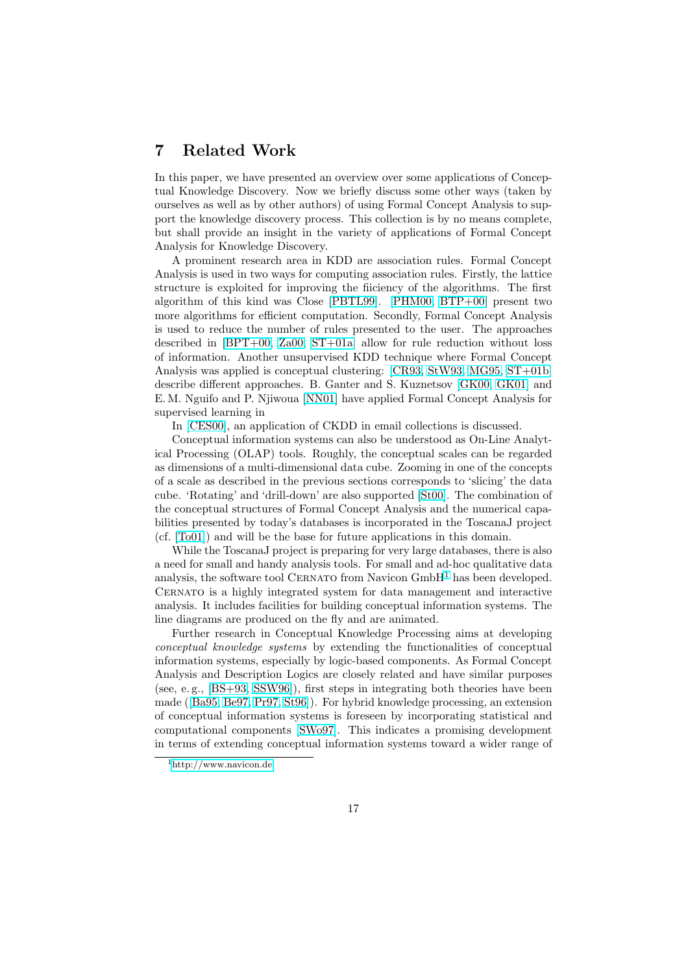### 7 Related Work

In this paper, we have presented an overview over some applications of Conceptual Knowledge Discovery. Now we briefly discuss some other ways (taken by ourselves as well as by other authors) of using Formal Concept Analysis to support the knowledge discovery process. This collection is by no means complete, but shall provide an insight in the variety of applications of Formal Concept Analysis for Knowledge Discovery.

A prominent research area in KDD are association rules. Formal Concept Analysis is used in two ways for computing association rules. Firstly, the lattice structure is exploited for improving the fiiciency of the algorithms. The first algorithm of this kind was Close [PBTL99]. [PHM00, BTP+00] present two more algorithms for efficient computation. Secondly, Formal Concept Analysis is used to reduce the number of rules presented to the user. The approaches described in [BPT+00, Za00, ST+01a] allow for rule reduction without loss of information. Another unsuperv[ised KDD](#page-19-0) t[echnique](#page-19-0) [where For](#page-17-0)mal Concept Analysis was applied is conceptual clustering: [CR93, StW93, MG95, ST+01b] describe different approaches. B. Ganter and S. Kuznetsov [GK00, GK01] and E. M. Nguifo [and P. Nji](#page-17-0)[woua \[](#page-22-0)[NN01\] hav](#page-20-0)e applied Formal Concept Analysis for supervised learning in

In [CES00], an application of CKDD in em[ail coll](#page-18-0)[ections i](#page-20-0)[s discus](#page-19-0)[sed.](#page-20-0)

Conceptual information systems can also be understood [as On-Line An](#page-18-0)alytical Processing (OLAP) tools[. Roug](#page-19-0)hly, the conceptual scales can be regarded as dimensions of a multi-dimensional data cube. Zooming in one of the concepts of a sc[ale as d](#page-18-0)escribed in the previous sections corresponds to 'slicing' the data cube. 'Rotating' and 'drill-down' are also supported [St00]. The combination of the conceptual structures of Formal Concept Analysis and the numerical capabilities presented by today's databases is incorporated in the ToscanaJ project (cf. [To01]) and will be the base for future applications in this domain.

While the ToscanaJ project is preparing for very l[arge d](#page-20-0)atabases, there is also a need for small and handy analysis tools. For small and ad-hoc qualitative data analysis, the software tool CERNATO from Navicon  $GmbH<sup>1</sup>$  has been developed. Ce[rnato](#page-21-0) is a highly integrated system for data management and interactive analysis. It includes facilities for building conceptual information systems. The line diagrams are produced on the fly and are animated.

Further research in Conceptual Knowledge Processing aims at developing conceptual knowledge systems by extending the functionalities of conceptual information systems, especially by logic-based components. As Formal Concept Analysis and Description Logics are closely related and have similar purposes (see, e.g.,  $[BS+93, SSW96]$ ), first steps in integrating both theories have been made ([Ba95, Be97, Pr97, St96]). For hybrid knowledge processing, an extension of conceptual information systems is foreseen by incorporating statistical and computational components [SWo97]. This indicates a promising development in terms of [extend](#page-17-0)i[ng conce](#page-20-0)ptual information systems toward a wider range of

<sup>1</sup>http[://www.navic](#page-17-0)[on.de](#page-19-0)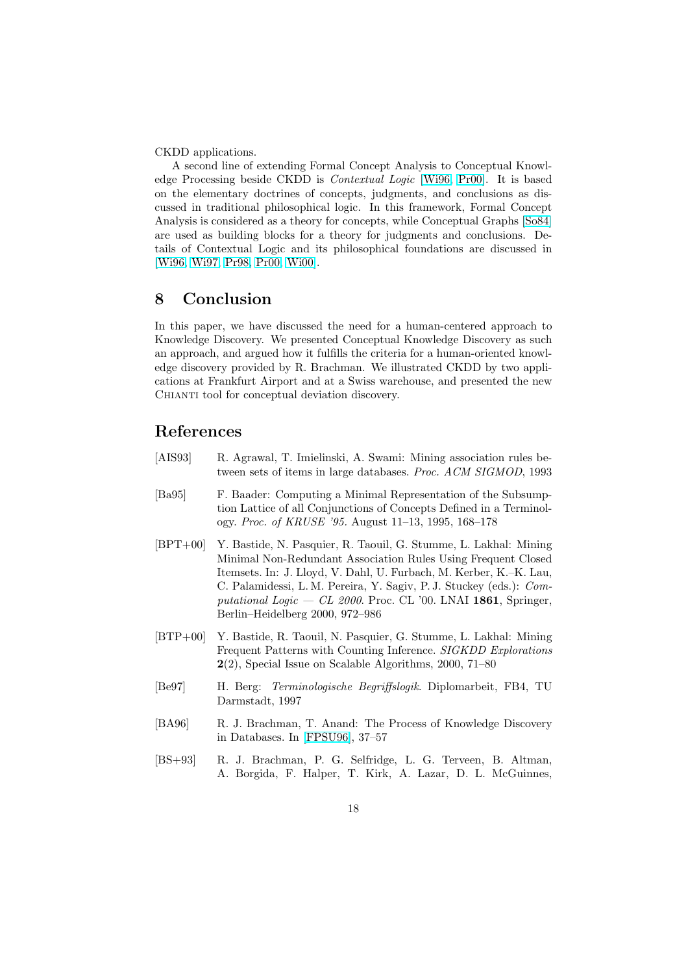<span id="page-17-0"></span>CKDD applications.

A second line of extending Formal Concept Analysis to Conceptual Knowledge Processing beside CKDD is Contextual Logic [Wi96, Pr00]. It is based on the elementary doctrines of concepts, judgments, and conclusions as discussed in traditional philosophical logic. In this framework, Formal Concept Analysis is considered as a theory for concepts, while Conceptual Graphs [So84] are used as building blocks for a theory for judgm[ents an](#page-21-0)[d conc](#page-19-0)lusions. Details of Contextual Logic and its philosophical foundations are discussed in [Wi96, Wi97, Pr98, Pr00, Wi00].

### 8 Conclusion

[In this paper](#page-21-0)[, we have d](#page-19-0)[iscusse](#page-21-0)d the need for a human-centered approach to Knowledge Discovery. We presented Conceptual Knowledge Discovery as such an approach, and argued how it fulfills the criteria for a human-oriented knowledge discovery provided by R. Brachman. We illustrated CKDD by two applications at Frankfurt Airport and at a Swiss warehouse, and presented the new CHIANTI tool for conceptual deviation discovery.

### References

- [AIS93] R. Agrawal, T. Imielinski, A. Swami: Mining association rules between sets of items in large databases. Proc. ACM SIGMOD, 1993
- [Ba95] F. Baader: Computing a Minimal Representation of the Subsumption Lattice of all Conjunctions of Concepts Defined in a Terminology. Proc. of KRUSE '95. August 11–13, 1995, 168–178
- [BPT+00] Y. Bastide, N. Pasquier, R. Taouil, G. Stumme, L. Lakhal: Mining Minimal Non-Redundant Association Rules Using Frequent Closed Itemsets. In: J. Lloyd, V. Dahl, U. Furbach, M. Kerber, K.–K. Lau, C. Palamidessi, L. M. Pereira, Y. Sagiv, P. J. Stuckey (eds.): Computational Logic — CL 2000. Proc. CL '00. LNAI 1861, Springer, Berlin–Heidelberg 2000, 972–986
- [BTP+00] Y. Bastide, R. Taouil, N. Pasquier, G. Stumme, L. Lakhal: Mining Frequent Patterns with Counting Inference. SIGKDD Explorations 2(2), Special Issue on Scalable Algorithms, 2000, 71–80
- [Be97] H. Berg: Terminologische Begriffslogik. Diplomarbeit, FB4, TU Darmstadt, 1997
- [BA96] R. J. Brachman, T. Anand: The Process of Knowledge Discovery in Databases. In [FPSU96], 37–57
- [BS+93] R. J. Brachman, P. G. Selfridge, L. G. Terveen, B. Altman, A. Borgida, F. Halper, T. Kirk, A. Lazar, D. L. McGuinnes,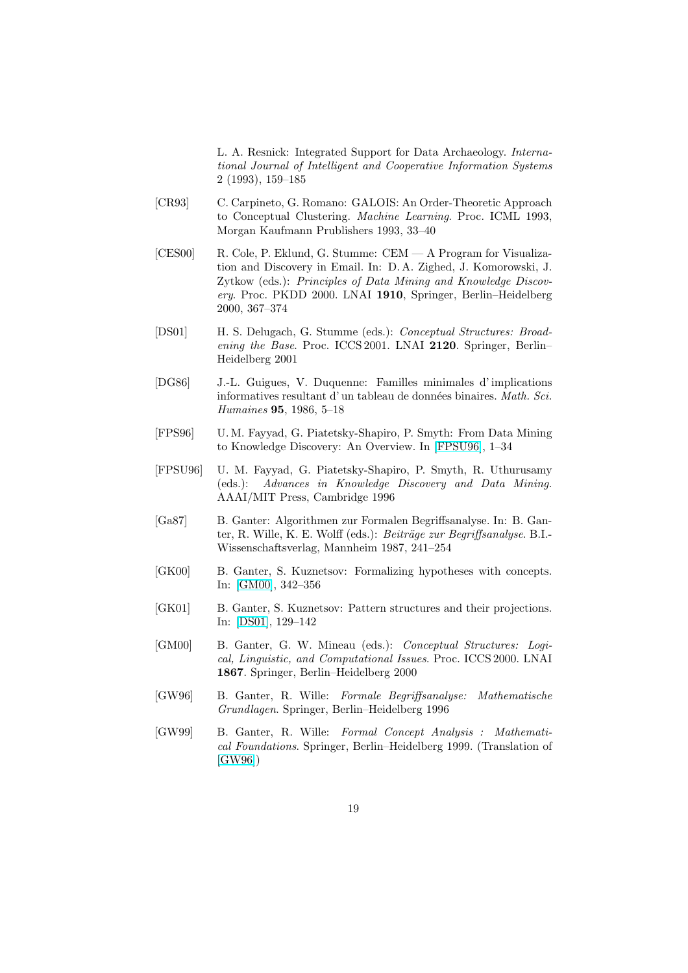L. A. Resnick: Integrated Support for Data Archaeology. International Journal of Intelligent and Cooperative Information Systems 2 (1993), 159–185

- <span id="page-18-0"></span>[CR93] C. Carpineto, G. Romano: GALOIS: An Order-Theoretic Approach to Conceptual Clustering. Machine Learning. Proc. ICML 1993, Morgan Kaufmann Prublishers 1993, 33–40
- [CES00] R. Cole, P. Eklund, G. Stumme: CEM A Program for Visualization and Discovery in Email. In: D. A. Zighed, J. Komorowski, J. Zytkow (eds.): Principles of Data Mining and Knowledge Discovery. Proc. PKDD 2000. LNAI 1910, Springer, Berlin–Heidelberg 2000, 367–374
- [DS01] H. S. Delugach, G. Stumme (eds.): Conceptual Structures: Broadening the Base. Proc. ICCS 2001. LNAI 2120. Springer, Berlin– Heidelberg 2001
- [DG86] J.-L. Guigues, V. Duquenne: Familles minimales d' implications informatives resultant d'un tableau de données binaires. Math. Sci. Humaines 95, 1986, 5–18
- [FPS96] U. M. Fayyad, G. Piatetsky-Shapiro, P. Smyth: From Data Mining to Knowledge Discovery: An Overview. In [FPSU96], 1–34
- [FPSU96] U. M. Fayyad, G. Piatetsky-Shapiro, P. Smyth, R. Uthurusamy (eds.): Advances in Knowledge Discovery and Data Mining. AAAI/MIT Press, Cambridge 1996
- [Ga87] B. Ganter: Algorithmen zur Formalen Begriffsanalyse. In: B. Ganter, R. Wille, K. E. Wolff (eds.): *Beiträge zur Begriffsanalyse*. B.I.-Wissenschaftsverlag, Mannheim 1987, 241–254
- [GK00] B. Ganter, S. Kuznetsov: Formalizing hypotheses with concepts. In: [GM00], 342–356
- [GK01] B. Ganter, S. Kuznetsov: Pattern structures and their projections. In: [DS01], 129–142
- [GM00] B. Ganter, G. W. Mineau (eds.): Conceptual Structures: Logical, Linguistic, and Computational Issues. Proc. ICCS 2000. LNAI 1867. Springer, Berlin–Heidelberg 2000
- [GW96] B. Ganter, R. Wille: Formale Begriffsanalyse: Mathematische Grundlagen. Springer, Berlin–Heidelberg 1996
- [GW99] B. Ganter, R. Wille: Formal Concept Analysis : Mathematical Foundations. Springer, Berlin–Heidelberg 1999. (Translation of [GW96])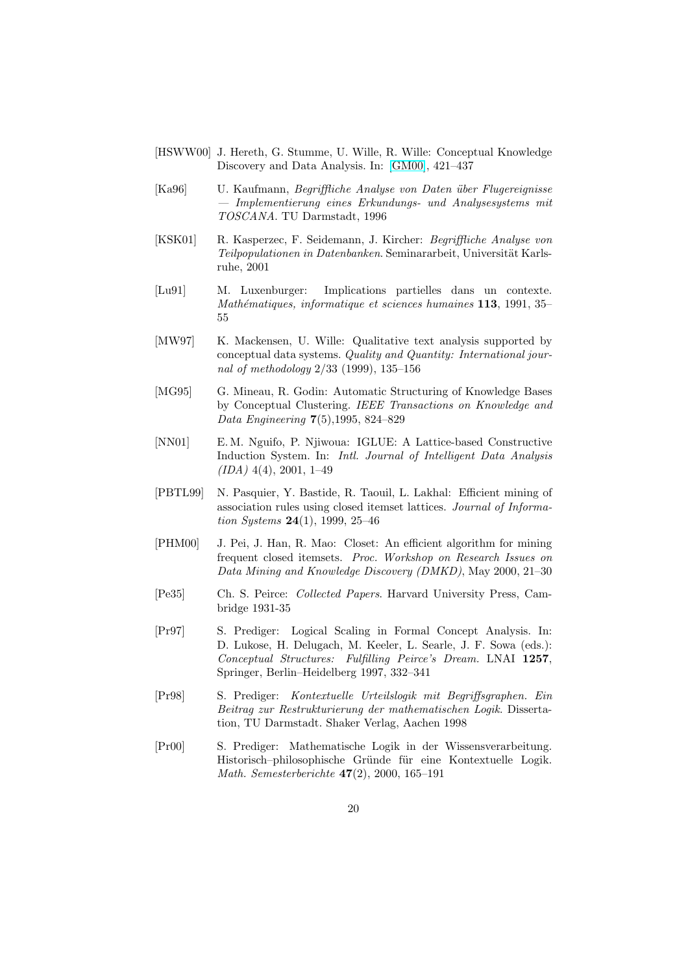- <span id="page-19-0"></span>[HSWW00] J. Hereth, G. Stumme, U. Wille, R. Wille: Conceptual Knowledge Discovery and Data Analysis. In: [GM00], 421–437
- [Ka96] U. Kaufmann, Begriffliche Analyse von Daten über Flugereignisse — Implementierung eines Erkundungs- und Analysesystems mit TOSCANA. TU Darmstadt, 1996
- [KSK01] R. Kasperzec, F. Seidemann, J. Kircher: Begriffliche Analyse von Teilpopulationen in Datenbanken. Seminararbeit, Universität Karlsruhe, 2001
- [Lu91] M. Luxenburger: Implications partielles dans un contexte. Mathématiques, informatique et sciences humaines 113, 1991, 35– 55
- [MW97] K. Mackensen, U. Wille: Qualitative text analysis supported by conceptual data systems. Quality and Quantity: International journal of methodology 2/33 (1999), 135–156
- [MG95] G. Mineau, R. Godin: Automatic Structuring of Knowledge Bases by Conceptual Clustering. IEEE Transactions on Knowledge and Data Engineering 7(5),1995, 824–829
- [NN01] E. M. Nguifo, P. Njiwoua: IGLUE: A Lattice-based Constructive Induction System. In: Intl. Journal of Intelligent Data Analysis  $(IDA)$  4(4), 2001, 1-49
- [PBTL99] N. Pasquier, Y. Bastide, R. Taouil, L. Lakhal: Efficient mining of association rules using closed itemset lattices. Journal of Information Systems 24(1), 1999, 25–46
- [PHM00] J. Pei, J. Han, R. Mao: Closet: An efficient algorithm for mining frequent closed itemsets. Proc. Workshop on Research Issues on Data Mining and Knowledge Discovery (DMKD), May 2000, 21–30
- [Pe35] Ch. S. Peirce: Collected Papers. Harvard University Press, Cambridge 1931-35
- [Pr97] S. Prediger: Logical Scaling in Formal Concept Analysis. In: D. Lukose, H. Delugach, M. Keeler, L. Searle, J. F. Sowa (eds.): Conceptual Structures: Fulfilling Peirce's Dream. LNAI 1257, Springer, Berlin–Heidelberg 1997, 332–341
- [Pr98] S. Prediger: Kontextuelle Urteilslogik mit Begriffsgraphen. Ein Beitrag zur Restrukturierung der mathematischen Logik. Dissertation, TU Darmstadt. Shaker Verlag, Aachen 1998
- [Pr00] S. Prediger: Mathematische Logik in der Wissensverarbeitung. Historisch-philosophische Gründe für eine Kontextuelle Logik. Math. Semesterberichte 47(2), 2000, 165–191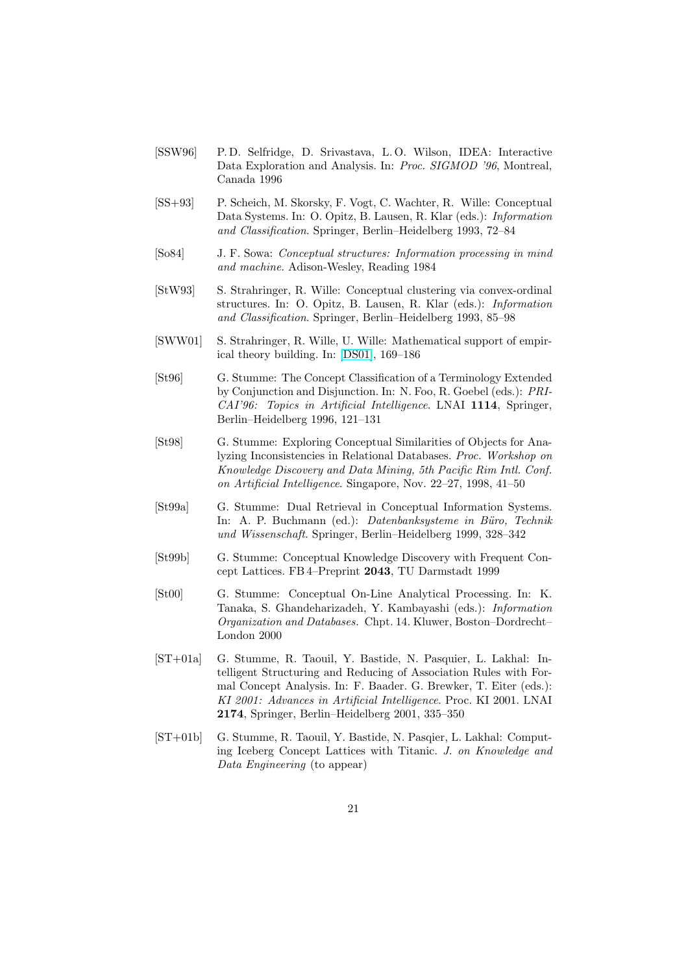- <span id="page-20-0"></span>[SSW96] P. D. Selfridge, D. Srivastava, L. O. Wilson, IDEA: Interactive Data Exploration and Analysis. In: Proc. SIGMOD '96, Montreal, Canada 1996
- [SS+93] P. Scheich, M. Skorsky, F. Vogt, C. Wachter, R. Wille: Conceptual Data Systems. In: O. Opitz, B. Lausen, R. Klar (eds.): Information and Classification. Springer, Berlin–Heidelberg 1993, 72–84
- [So84] J. F. Sowa: Conceptual structures: Information processing in mind and machine. Adison-Wesley, Reading 1984
- [StW93] S. Strahringer, R. Wille: Conceptual clustering via convex-ordinal structures. In: O. Opitz, B. Lausen, R. Klar (eds.): Information and Classification. Springer, Berlin–Heidelberg 1993, 85–98
- [SWW01] S. Strahringer, R. Wille, U. Wille: Mathematical support of empirical theory building. In: [DS01], 169–186
- [St96] G. Stumme: The Concept Classification of a Terminology Extended by Conjunction and Disjunction. In: N. Foo, R. Goebel (eds.): PRI-CAI'96: Topics in Arti[ficial I](#page-18-0)ntelligence. LNAI 1114, Springer, Berlin–Heidelberg 1996, 121–131
- [St98] G. Stumme: Exploring Conceptual Similarities of Objects for Analyzing Inconsistencies in Relational Databases. Proc. Workshop on Knowledge Discovery and Data Mining, 5th Pacific Rim Intl. Conf. on Artificial Intelligence. Singapore, Nov. 22–27, 1998, 41–50
- [St99a] G. Stumme: Dual Retrieval in Conceptual Information Systems. In: A. P. Buchmann (ed.): Datenbanksysteme in Büro, Technik und Wissenschaft. Springer, Berlin–Heidelberg 1999, 328–342
- [St99b] G. Stumme: Conceptual Knowledge Discovery with Frequent Concept Lattices. FB 4–Preprint 2043, TU Darmstadt 1999
- [St00] G. Stumme: Conceptual On-Line Analytical Processing. In: K. Tanaka, S. Ghandeharizadeh, Y. Kambayashi (eds.): Information Organization and Databases. Chpt. 14. Kluwer, Boston–Dordrecht– London 2000
- [ST+01a] G. Stumme, R. Taouil, Y. Bastide, N. Pasquier, L. Lakhal: Intelligent Structuring and Reducing of Association Rules with Formal Concept Analysis. In: F. Baader. G. Brewker, T. Eiter (eds.): KI 2001: Advances in Artificial Intelligence. Proc. KI 2001. LNAI 2174, Springer, Berlin–Heidelberg 2001, 335–350
- [ST+01b] G. Stumme, R. Taouil, Y. Bastide, N. Pasqier, L. Lakhal: Computing Iceberg Concept Lattices with Titanic. J. on Knowledge and Data Engineering (to appear)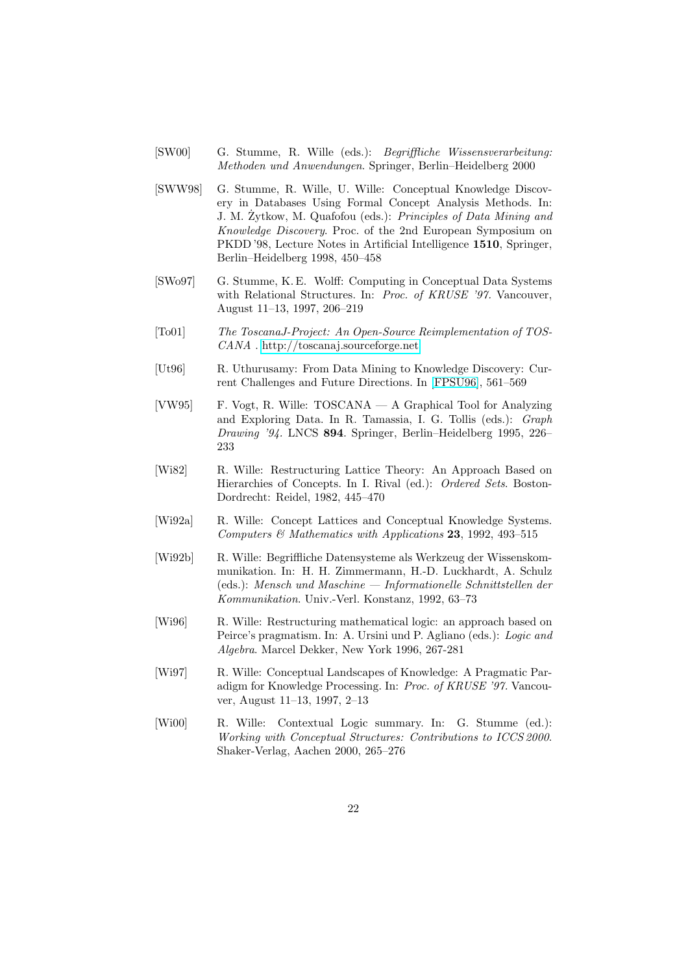- <span id="page-21-0"></span>[SW00] G. Stumme, R. Wille (eds.): Begriffliche Wissensverarbeitung: Methoden und Anwendungen. Springer, Berlin–Heidelberg 2000
- [SWW98] G. Stumme, R. Wille, U. Wille: Conceptual Knowledge Discovery in Databases Using Formal Concept Analysis Methods. In: J. M. Żytkow, M. Quafofou (eds.): Principles of Data Mining and Knowledge Discovery. Proc. of the 2nd European Symposium on PKDD '98, Lecture Notes in Artificial Intelligence 1510, Springer, Berlin–Heidelberg 1998, 450–458
- [SWo97] G. Stumme, K. E. Wolff: Computing in Conceptual Data Systems with Relational Structures. In: Proc. of KRUSE '97. Vancouver, August 11–13, 1997, 206–219
- [To01] The ToscanaJ-Project: An Open-Source Reimplementation of TOS-CANA . http://toscanaj.sourceforge.net
- [Ut96] R. Uthurusamy: From Data Mining to Knowledge Discovery: Current Challenges and Future Directions. In [FPSU96], 561–569
- [VW95] F. Vogt, [R. Wille: TOSCANA A Gra](http://toscanaj.sourceforge.net)phical Tool for Analyzing and Exploring Data. In R. Tamassia, I. G. Tollis (eds.): Graph Drawing '94. LNCS 894. Springer, Berlin[–Heidelbe](#page-18-0)rg 1995, 226– 233
- [Wi82] R. Wille: Restructuring Lattice Theory: An Approach Based on Hierarchies of Concepts. In I. Rival (ed.): Ordered Sets. Boston-Dordrecht: Reidel, 1982, 445–470
- [Wi92a] R. Wille: Concept Lattices and Conceptual Knowledge Systems. Computers & Mathematics with Applications 23, 1992, 493–515
- [Wi92b] R. Wille: Begriffliche Datensysteme als Werkzeug der Wissenskommunikation. In: H. H. Zimmermann, H.-D. Luckhardt, A. Schulz (eds.): Mensch und Maschine — Informationelle Schnittstellen der Kommunikation. Univ.-Verl. Konstanz, 1992, 63–73
- [Wi96] R. Wille: Restructuring mathematical logic: an approach based on Peirce's pragmatism. In: A. Ursini und P. Agliano (eds.): Logic and Algebra. Marcel Dekker, New York 1996, 267-281
- [Wi97] R. Wille: Conceptual Landscapes of Knowledge: A Pragmatic Paradigm for Knowledge Processing. In: Proc. of KRUSE '97. Vancouver, August 11–13, 1997, 2–13
- [Wi00] R. Wille: Contextual Logic summary. In: G. Stumme (ed.): Working with Conceptual Structures: Contributions to ICCS 2000. Shaker-Verlag, Aachen 2000, 265–276